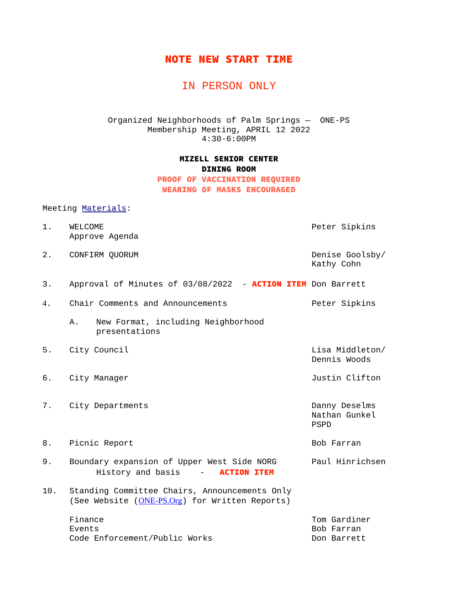## NOTE NEW START TIME

# IN PERSON ONLY

Organized Neighborhoods of Palm Springs — ONE-PS Membership Meeting, APRIL 12 2022 4:30-6:00PM

#### MIZELL SENIOR CENTER DINING ROOM PROOF OF VACCINATION REQUIRED WEARING OF MASKS ENCOURAGED

### Meeting Materials:

| 1.  | <b>WELCOME</b><br>Approve Agenda                                                                | Peter Sipkins                                 |
|-----|-------------------------------------------------------------------------------------------------|-----------------------------------------------|
| 2.  | CONFIRM QUORUM                                                                                  | Denise Goolsby/<br>Kathy Cohn                 |
| 3.  | Approval of Minutes of 03/08/2022 - ACTION ITEM Don Barrett                                     |                                               |
| 4.  | Chair Comments and Announcements                                                                | Peter Sipkins                                 |
|     | New Format, including Neighborhood<br>A.<br>presentations                                       |                                               |
| 5.  | City Council                                                                                    | Lisa Middleton/<br>Dennis Woods               |
| 6.  | City Manager                                                                                    | Justin Clifton                                |
| 7.  | City Departments                                                                                | Danny Deselms<br>Nathan Gunkel<br><b>PSPD</b> |
| 8.  | Picnic Report                                                                                   | Bob Farran                                    |
| 9.  | Boundary expansion of Upper West Side NORG<br>History and basis -<br><b>ACTION ITEM</b>         | Paul Hinrichsen                               |
| 10. | Standing Committee Chairs, Announcements Only<br>(See Website (ONE-PS.Org) for Written Reports) |                                               |
|     | Finance<br>Events<br>Code Enforcement/Public Works                                              | Tom Gardiner<br>Bob Farran<br>Don Barrett     |